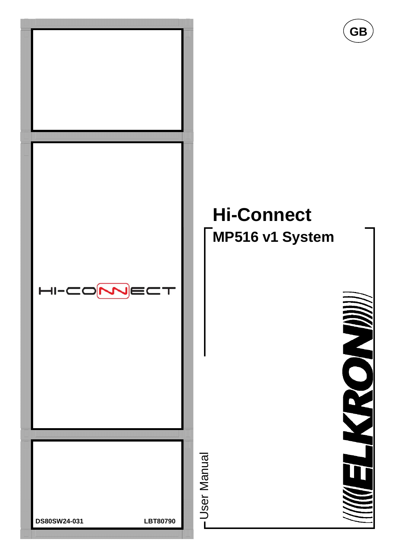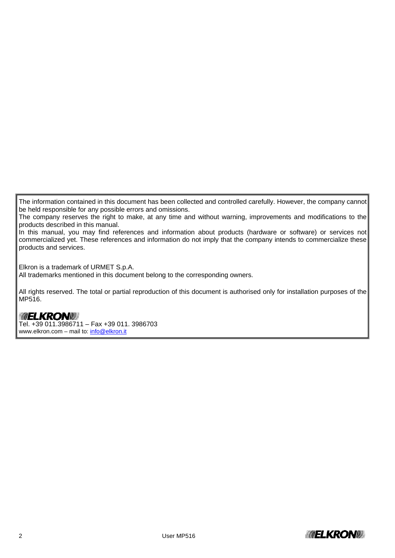The information contained in this document has been collected and controlled carefully. However, the company cannot be held responsible for any possible errors and omissions.

The company reserves the right to make, at any time and without warning, improvements and modifications to the products described in this manual.

In this manual, you may find references and information about products (hardware or software) or services not commercialized yet. These references and information do not imply that the company intends to commercialize these products and services.

Elkron is a trademark of URMET S.p.A.

All trademarks mentioned in this document belong to the corresponding owners.

All rights reserved. The total or partial reproduction of this document is authorised only for installation purposes of the MP516.

#### **IIIIIELKRONI)))**

Tel. +39 011.3986711 – Fax +39 011. 3986703 www.elkron.com – mail to:  $info@$ elkron.it

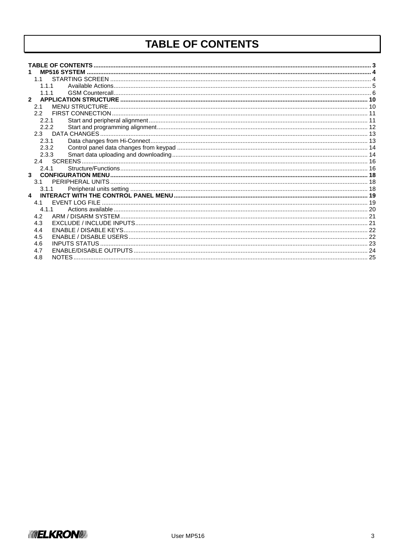## **TABLE OF CONTENTS**

| 11           |  |
|--------------|--|
| 1.1.1        |  |
| 1.1.1        |  |
| $\mathbf{2}$ |  |
| 2.1          |  |
| 2.2          |  |
| 2.2.1        |  |
| 2.2.2        |  |
| 2.3          |  |
| 2.3.1        |  |
| 2.3.2        |  |
| 2.3.3        |  |
| 24           |  |
| 2.4.1        |  |
| 3            |  |
| 3 1          |  |
| 3.1.1        |  |
|              |  |
| 41           |  |
| 4.1.1        |  |
| 4.2          |  |
| 4.3          |  |
| 4.4          |  |
| 4.5          |  |
| 4.6          |  |
| 4.7          |  |
| 4.8          |  |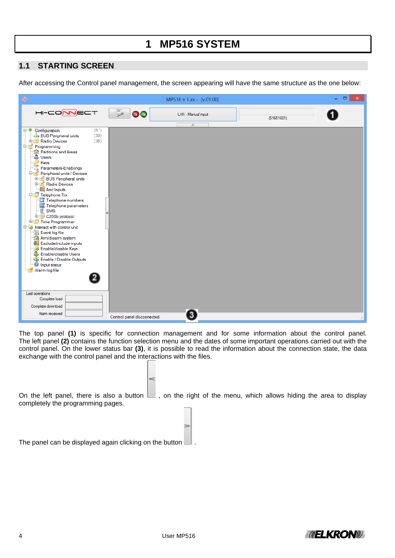#### **1.1 STARTING SCREEN**

After accessing the Control panel management, the screen appearing will have the same structure as the one below:

| $\overline{\mathbf{M}}$                                                                                                                                                                                                                                                                                                                                                                                                                                                                                                                                                                                                                                                                                                           |                             | MP516 v 1.xx - [v.01.00]        |            | $\Box$<br>$\mathsf{x}^-$ |
|-----------------------------------------------------------------------------------------------------------------------------------------------------------------------------------------------------------------------------------------------------------------------------------------------------------------------------------------------------------------------------------------------------------------------------------------------------------------------------------------------------------------------------------------------------------------------------------------------------------------------------------------------------------------------------------------------------------------------------------|-----------------------------|---------------------------------|------------|--------------------------|
| HI-COMECT                                                                                                                                                                                                                                                                                                                                                                                                                                                                                                                                                                                                                                                                                                                         | 雪<br>$Tx$ $Rx$              | LAN - Manual input<br>$\Lambda$ | (51651601) |                          |
| ⊟∙<br>$(N^{\circ})$<br>Configuration<br>ากั๊ม BUS Peripheral units<br>(39)<br>(36)<br><b>E Radio Devices</b><br><b>End</b> Programming<br><b>102</b> Partitions and Areas<br>А<br>Users<br>Keys<br>Parameters-Enablings<br>白色<br>Peripheral units / Devices<br>田信 BUS Peripheral units<br><b>Radio Devices</b><br>由图<br>And Inputs<br><b>E</b> Telephone Trx<br>Telephone numbers<br>Telephone parameters<br><b>SMS</b><br>由图 C200b protocol<br><b>E</b> Time Programmer<br>Interact with control unit<br>Event log file<br>Arm/disarm system<br>$\overline{\mathbf{z}}$ .<br>Exclude/include inputs<br>Enable/disable Keys<br>Enable/disable Users<br>Enable / Disable Outputs<br>Input status<br>Alarm log file<br>$\mathbf{2}$ |                             |                                 |            |                          |
| Last operations<br>Complete load<br>Complete download<br>Alam received                                                                                                                                                                                                                                                                                                                                                                                                                                                                                                                                                                                                                                                            | Control panel disconnected. | 3                               |            | ÷.                       |

The top panel **(1)** is specific for connection management and for some information about the control panel. The left panel **(2)** contains the function selection menu and the dates of some important operations carried out with the control panel. On the lower status bar **(3)**, it is possible to read the information about the connection state, the data exchange with the control panel and the interactions with the files.

On the left panel, there is also a button  $\Box$ , on the right of the menu, which allows hiding the area to display completely the programming pages.

The panel can be displayed again clicking on the button ...

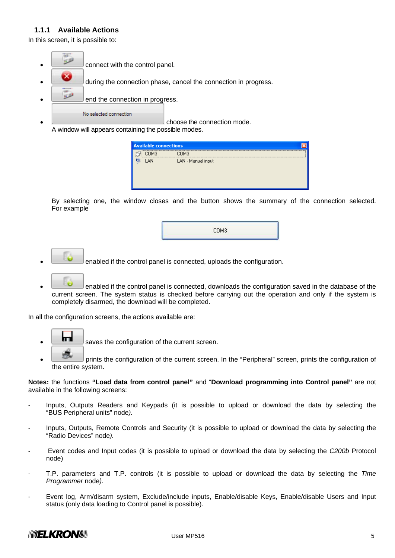#### **1.1.1 Available Actions**

In this screen, it is possible to:

• connect with the control panel. during the connection phase, cancel the connection in progress.  $\mathbb{R}$  end the connection in progress. No selected connection • choose the connection mode.

A window will appears containing the possible modes.

| <b>Available connections</b> |                    |  |
|------------------------------|--------------------|--|
|                              | сомз               |  |
| ē                            | LAN - Manual input |  |

By selecting one, the window closes and the button shows the summary of the connection selected. For example



- $\bullet$  enabled if the control panel is connected, uploads the configuration.
- enabled if the control panel is connected, downloads the configuration saved in the database of the current screen. The system status is checked before carrying out the operation and only if the system is completely disarmed, the download will be completed.

In all the configuration screens, the actions available are:

**FFI** saves the configuration of the current screen.

• prints the configuration of the current screen. In the "Peripheral" screen, prints the configuration of the entire system.

**Notes:** the functions **"Load data from control panel"** and "**Download programming into Control panel"** are not available in the following screens:

- Inputs, Outputs Readers and Keypads (it is possible to upload or download the data by selecting the "BUS Peripheral units" node*).*
- Inputs, Outputs, Remote Controls and Security (it is possible to upload or download the data by selecting the "Radio Devices" node*).*
- Event codes and Input codes (it is possible to upload or download the data by selecting the *C200b* Protocol node)
- T.P. parameters and T.P. controls (it is possible to upload or download the data by selecting the *Time Programmer* node*).*
- Event log, Arm/disarm system, Exclude/include inputs, Enable/disable Keys, Enable/disable Users and Input status (only data loading to Control panel is possible).

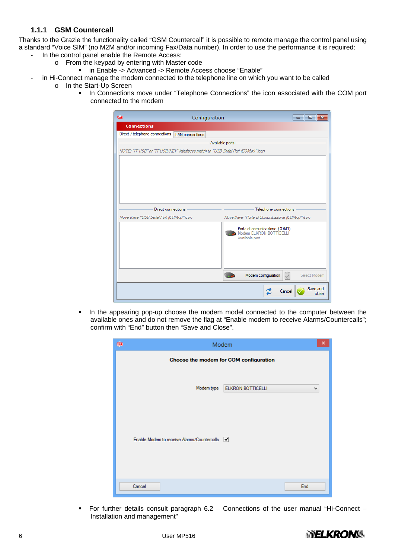#### **1.1.1 GSM Countercall**

Thanks to the Grazie the functionality called "GSM Countercall" it is possible to remote manage the control panel using a standard "Voice SIM" (no M2M and/or incoming Fax/Data number). In order to use the performance it is required: In the control panel enable the Remote Access:

- - o From the keypad by entering with Master code
		- in Enable -> Advanced -> Remote Access choose "Enable"
- in Hi-Connect manage the modem connected to the telephone line on which you want to be called
	- o In the Start-Up Screen
		- In Connections move under "Telephone Connections" the icon associated with the COM port connected to the modem

| $\overline{N}$                                                                     | Configuration          |                                                  | $\begin{array}{c c c c c c} \hline \multicolumn{3}{c }{\mathbf{C}} & \multicolumn{3}{c }{\mathbf{C}} & \multicolumn{3}{c }{\mathbf{R}} \end{array}$ |
|------------------------------------------------------------------------------------|------------------------|--------------------------------------------------|-----------------------------------------------------------------------------------------------------------------------------------------------------|
| <b>Connections</b>                                                                 |                        |                                                  |                                                                                                                                                     |
| Direct / telephone connections                                                     | <b>LAN</b> connections |                                                  |                                                                                                                                                     |
|                                                                                    |                        | Available ports                                  |                                                                                                                                                     |
| NOTE: "IT USB" or "IT USB/KEY" interfaces match to "USB Serial Port (COMbox)" icon |                        |                                                  |                                                                                                                                                     |
|                                                                                    |                        |                                                  |                                                                                                                                                     |
|                                                                                    |                        |                                                  |                                                                                                                                                     |
|                                                                                    |                        |                                                  |                                                                                                                                                     |
|                                                                                    |                        |                                                  |                                                                                                                                                     |
|                                                                                    |                        |                                                  |                                                                                                                                                     |
|                                                                                    |                        |                                                  |                                                                                                                                                     |
| Direct connections                                                                 |                        | Telephone connections                            |                                                                                                                                                     |
| Move there "USB Serial Port (COMbox)" icon                                         |                        | Move there "Porta di Comunicazione (COMxx)" icon |                                                                                                                                                     |
|                                                                                    |                        | Porta di comunicazione (COM1)                    |                                                                                                                                                     |
|                                                                                    |                        | <b>Modem ELKRON BOTTICELLI</b><br>Available port |                                                                                                                                                     |
|                                                                                    |                        |                                                  |                                                                                                                                                     |
|                                                                                    |                        |                                                  |                                                                                                                                                     |
|                                                                                    |                        |                                                  |                                                                                                                                                     |
|                                                                                    |                        |                                                  |                                                                                                                                                     |
|                                                                                    |                        | $\overline{\mathbf{v}}$<br>Modem configuration   | Select Modem                                                                                                                                        |
|                                                                                    |                        |                                                  | Save and                                                                                                                                            |
|                                                                                    |                        | Cancel                                           | close                                                                                                                                               |
|                                                                                    |                        |                                                  |                                                                                                                                                     |

 In the appearing pop-up choose the modem model connected to the computer between the available ones and do not remove the flag at "Enable modem to receive Alarms/Countercalls"; confirm with "End" button then "Save and Close".

| $\bar{\mathbf{M}}$                                         | ×<br>Modem                             |  |  |  |  |  |  |  |
|------------------------------------------------------------|----------------------------------------|--|--|--|--|--|--|--|
|                                                            | Choose the modem for COM configuration |  |  |  |  |  |  |  |
|                                                            |                                        |  |  |  |  |  |  |  |
| Modem type                                                 | <b>ELKRON BOTTICELLI</b><br>٧          |  |  |  |  |  |  |  |
|                                                            |                                        |  |  |  |  |  |  |  |
|                                                            |                                        |  |  |  |  |  |  |  |
| Enable Modem to receive Alams/Countercalls $\triangledown$ |                                        |  |  |  |  |  |  |  |
|                                                            |                                        |  |  |  |  |  |  |  |
|                                                            |                                        |  |  |  |  |  |  |  |
| Cancel                                                     |                                        |  |  |  |  |  |  |  |
|                                                            | End                                    |  |  |  |  |  |  |  |

 For further details consult paragraph 6.2 – Connections of the user manual "Hi-Connect – Installation and management"

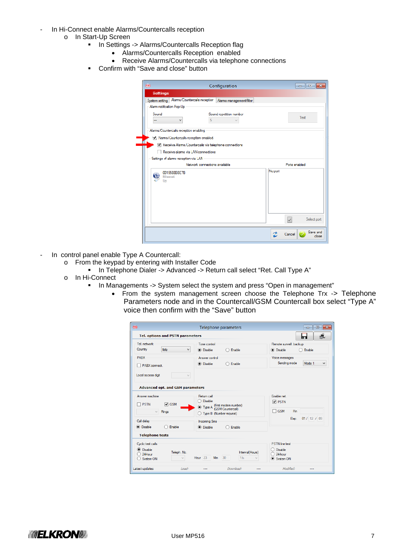- In Hi-Connect enable Alarms/Countercalls reception
	- o In Start-Up Screen
		- **In Settings -> Alarms/Countercalls Reception flag** 
			- Alarms/Countercalls Reception enabled
				- Receive Alarms/Countercalls via telephone connections
		- **•** Confirm with "Save and close" button

| (KSI)                     |                                                                                           | Configuration           |         | $\sim$ $\le$ $\,$<br>$-83$  |
|---------------------------|-------------------------------------------------------------------------------------------|-------------------------|---------|-----------------------------|
| <b>Settings</b>           |                                                                                           |                         |         |                             |
|                           | System setting Alams/Countercals reception                                                | Alams management filter |         |                             |
| Alarm notification Pop-Up |                                                                                           |                         |         |                             |
| Sound                     |                                                                                           | Sound repetition number |         | Test                        |
|                           | v                                                                                         | 5                       |         |                             |
|                           | Alarms/Countercalls reception enabling                                                    |                         |         |                             |
|                           | Mams/Countercalls reception enabled                                                       |                         |         |                             |
|                           |                                                                                           |                         |         |                             |
|                           | Receive Alams/Countercalls via telephone connections<br>Receive alams via LAN connections |                         |         |                             |
|                           | Settings of alams reception via LAN                                                       |                         |         |                             |
|                           | Network connections available                                                             |                         |         | Pote enabled                |
|                           | 0015588B8E7B                                                                              |                         | No port |                             |
| Ethemet                   |                                                                                           |                         |         |                             |
| Up                        |                                                                                           |                         |         |                             |
|                           |                                                                                           |                         |         |                             |
|                           |                                                                                           |                         |         |                             |
|                           |                                                                                           |                         |         |                             |
|                           |                                                                                           |                         |         |                             |
|                           |                                                                                           |                         |         | Select port<br>$\sqrt{2}$   |
|                           |                                                                                           |                         |         |                             |
|                           |                                                                                           |                         | ≁       | Save and<br>Cancel<br>close |
|                           |                                                                                           |                         |         |                             |

- In control panel enable Type A Countercall:
	- o From the keypad by entering with Installer Code
		- In Telephone Dialer -> Advanced -> Return call select "Ret. Call Type A"
	- o In Hi-Connect
		- In Managements -> System select the system and press "Open in management"
			- From the system management screen choose the Telephone Trx -> Telephone Parameters node and in the Countercall/GSM Countercall box select "Type A" voice then confirm with the "Save" button

| $ \overline{NN} $                                                                           | Telephone parameters                                                                                                 | $\begin{array}{c c c c c c} \hline \multicolumn{3}{c }{\mathbf{C}} & \multicolumn{3}{c }{\mathbf{X}} \end{array}$ |
|---------------------------------------------------------------------------------------------|----------------------------------------------------------------------------------------------------------------------|-------------------------------------------------------------------------------------------------------------------|
| <b>Tel. options and PSTN parameters</b>                                                     |                                                                                                                      | ы                                                                                                                 |
| Tel_network<br>Country<br>Italy<br>v                                                        | Tone control<br><b>O</b> Disable<br>Enable                                                                           | Remote surveill, backup<br><b>O</b> Disable<br>Enable                                                             |
| <b>PABX</b><br>PABX connect.                                                                | Answer control<br><b>O</b> Disable<br>Enable                                                                         | Voice messages<br>Sending mode<br>Mode 1<br>v                                                                     |
| Local access digit<br>v                                                                     |                                                                                                                      |                                                                                                                   |
| <b>Advanced opt. and GSM parameters</b>                                                     |                                                                                                                      |                                                                                                                   |
| Answer machine<br>$\triangledown$ GSM<br><b>PSTN</b><br>Rings<br>$\mathcal{M}$              | Return call<br><b>Disable</b><br>(First modem number)<br>(GSM Countercall)<br>۰<br>Type A<br>Type B (Number request) | Enable net.<br>$\nabla$ PSTN<br><b>GSM</b><br>Pin                                                                 |
| Call delay<br>Enable<br><b>O</b> Disable                                                    | <b>Incoming Sms</b><br><b>O</b> Disable<br><b>Fnable</b><br>Ω                                                        | 01 / 12 / 09<br>Elap.                                                                                             |
| <b>Telephone tests</b>                                                                      |                                                                                                                      |                                                                                                                   |
| Cyclic test calls<br>$\odot$ Disable<br>Teleph. No.<br>24-hour<br>$\checkmark$<br>System ON | Interval(Hours)<br>30<br>Hour $23$<br>Min<br>1 <sub>h</sub><br>$\checkmark$                                          | <b>PSTN</b> line test<br><b>Disable</b><br>24-hour<br>System ON                                                   |
| Latest updates<br>Load:                                                                     | Download:                                                                                                            | Modified:                                                                                                         |

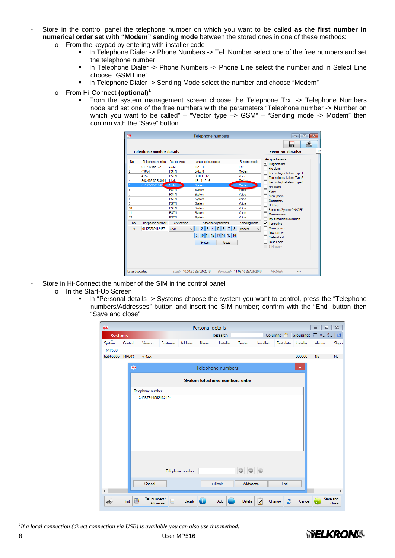- Store in the control panel the telephone number on which you want to be called **as the first number in numerical order set with "Modem" sending mode** between the stored ones in one of these methods:
	- o From the keypad by entering with installer code
		- In Telephone Dialer -> Phone Numbers -> Tel. Number select one of the free numbers and set the telephone number
		- **In Telephone Dialer -> Phone Numbers -> Phone Line select the number and in Select Line** choose "GSM Line"
		- In Telephone Dialer -> Sending Mode select the number and choose "Modem"
	- o From Hi-Connect **(optional)<sup>1</sup>**
		- From the system management screen choose the Telephone Trx. -> Telephone Numbers node and set one of the free numbers with the parameters "Telephone number -> Number on which you want to be called" – "Vector type –> GSM" – "Sending mode -> Modem" then confirm with the "Save" button

|                |                       |                 |                                                                        |                       | Assigned events               |
|----------------|-----------------------|-----------------|------------------------------------------------------------------------|-----------------------|-------------------------------|
| <b>No</b>      | Telephone number      | Vector type     | Assigned partitions                                                    | Sending mode          | $\triangledown$ Burglar alarm |
|                | 0112474551321         | <b>GSM</b>      | 1.2.3.4                                                                | <b>IDP</b>            | Pre-alam                      |
| $\overline{c}$ | 43654                 | <b>PSTN</b>     | 5.6.7.8                                                                | Modem                 | Technological alarm Type 1    |
| 3              | 4155                  | <b>PSTN</b>     | 9.10.11.12                                                             | Voice                 | Technological alam Type2      |
| 4              | 808.403.35.8:8044 LAN |                 | 13.14.15.16                                                            | Modom                 | Technological alam Type3      |
| 5              | 0112223541248 GSM     |                 | System                                                                 | Modem                 | Fire alam                     |
| 6              |                       | <b>ESTIN</b>    | System                                                                 | Welfela               | Panic                         |
| 7              |                       | <b>PSTN</b>     | System                                                                 | Voice                 | Silent panic                  |
| 8              |                       | <b>PSTN</b>     | System                                                                 | Voice                 | Emergency                     |
| 9              |                       | <b>PSTN</b>     | System                                                                 | Voice                 | Hold-up                       |
| 10             |                       | <b>PSTN</b>     | System                                                                 | Voice                 | Partitions/System ON/OFF      |
| 11             |                       | <b>PSTN</b>     | System                                                                 | Voice                 | Maintenance                   |
| 12             |                       | <b>PSTN</b>     | System                                                                 | Voice                 | Input inclusion/exclusion     |
| No.            | Telephone number      | Vector type     | Associated partitions                                                  | Sending mode          | ⊽<br>Tampering                |
| 5              | 01122235412487        | <b>GSM</b><br>v | $\overline{2}$<br> 8<br>13<br>5<br>6<br>7<br>$\mathbf{1}$<br>$\vert 4$ | Modem<br>$\checkmark$ | Mains power                   |
|                |                       |                 |                                                                        |                       | Low battery                   |
|                |                       |                 | 10 11 12 13 14 15 16<br>9                                              |                       | System fault                  |
|                |                       |                 | System<br>Areas                                                        |                       | False Code                    |
|                |                       |                 |                                                                        |                       | SIM expiry                    |

- Store in Hi-Connect the number of the SIM in the control panel
	- o In the Start-Up Screen
		- **IDED** 10 The "Personal details -> Systems choose the system you want to control, press the "Telephone" numbers/Addresses" button and insert the SIM number; confirm with the "End" button then "Save and close"

| $\overline{\mathbf{N}}$ |                        |                   |           |                   |      | Personal details  |                                |   |                      |                                                                            | $\Box$<br>$\Box$ | $\Sigma$      |
|-------------------------|------------------------|-------------------|-----------|-------------------|------|-------------------|--------------------------------|---|----------------------|----------------------------------------------------------------------------|------------------|---------------|
| <b>Systems</b>          |                        |                   |           |                   |      | Research          |                                |   |                      | Columns <b>iii</b> Groupings $\overline{\Xi}$ $\frac{A}{2}$ $\overline{A}$ |                  | ್             |
| System  Control         |                        | Version           | Customer  | Address           | Name | Installer         | Tester                         |   | Installati Test date | Installer  Alams                                                           |                  | Skip v        |
| <b>MP508</b>            |                        |                   |           |                   |      |                   |                                |   |                      |                                                                            |                  |               |
| 55555555                | <b>MP508</b>           | $v 4x^2$          |           |                   |      |                   |                                |   |                      | 000000                                                                     | No               | No            |
|                         | $\overline{\text{NN}}$ |                   |           |                   |      | Telephone numbers |                                |   |                      | $\times$                                                                   |                  |               |
|                         |                        |                   |           |                   |      |                   | System telephone numbers entry |   |                      |                                                                            |                  |               |
|                         |                        | Telephone number  |           |                   |      |                   |                                |   |                      |                                                                            |                  |               |
|                         |                        | 34587844562132154 |           |                   |      |                   |                                |   |                      |                                                                            |                  |               |
|                         |                        |                   |           |                   |      |                   |                                |   |                      |                                                                            |                  |               |
|                         |                        |                   |           |                   |      |                   |                                |   |                      |                                                                            |                  |               |
|                         |                        |                   |           |                   |      |                   |                                |   |                      |                                                                            |                  |               |
|                         |                        |                   |           |                   |      |                   |                                |   |                      |                                                                            |                  |               |
|                         |                        |                   |           |                   |      |                   |                                |   |                      |                                                                            |                  |               |
|                         |                        |                   |           |                   |      |                   |                                |   |                      |                                                                            |                  |               |
|                         |                        |                   |           |                   |      |                   |                                |   |                      |                                                                            |                  |               |
|                         |                        |                   |           | Telephone number: |      |                   | $\circ \circ$                  |   |                      |                                                                            |                  |               |
|                         |                        | Cancel            |           |                   |      | $<<$ Back         | <b>Addresses</b>               |   | End                  |                                                                            |                  |               |
| ≺                       |                        |                   |           |                   |      |                   |                                |   |                      |                                                                            |                  | $\rightarrow$ |
|                         | Print                  | Tel. numbers/     |           | Details           | Œ    | Add               | Delete                         | 7 |                      | Cancel                                                                     | Save and         |               |
|                         |                        |                   | Addresses |                   |      |                   |                                |   | Change               |                                                                            |                  | close         |

*1 If a local connection (direct connection via USB) is available you can also use this method.* 



l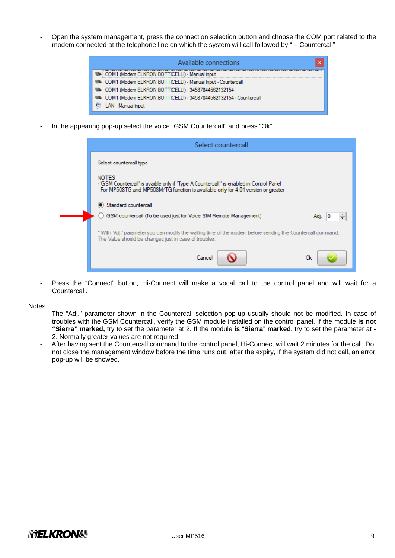- Open the system management, press the connection selection button and choose the COM port related to the modem connected at the telephone line on which the system will call followed by " – Countercall"



In the appearing pop-up select the voice "GSM Countercall" and press "Ok"

| Select countercall                                                                                                                                                                             |
|------------------------------------------------------------------------------------------------------------------------------------------------------------------------------------------------|
| Select countercall type                                                                                                                                                                        |
| <b>NOTES</b><br>- 'GSM Countercall' is avaible only if 'Type A Countercall'' is enabled in Control Panel<br>- For MP508TG and MP508M/TG function is available only for 4.01 version or greater |
| Standard countercall                                                                                                                                                                           |
| GSM countercall (To be used just for Voice SIM Remote Management)                                                                                                                              |
| * With 'Adj,' parameter you can modify the waiting time of the modem before sending the Countercall command,<br>The Value should be changed just in case of troubles.                          |
| Οk<br>Cancel                                                                                                                                                                                   |

Press the "Connect" button, Hi-Connect will make a vocal call to the control panel and will wait for a Countercall.

Notes

- The "Adj." parameter shown in the Countercall selection pop-up usually should not be modified. In case of troubles with the GSM Countercall, verify the GSM module installed on the control panel. If the module **is not "Sierra" marked,** try to set the parameter at 2. If the module **is** "**Sierra**" **marked,** try to set the parameter at - 2. Normally greater values are not required.
- After having sent the Countercall command to the control panel, Hi-Connect will wait 2 minutes for the call. Do not close the management window before the time runs out; after the expiry, if the system did not call, an error pop-up will be showed.

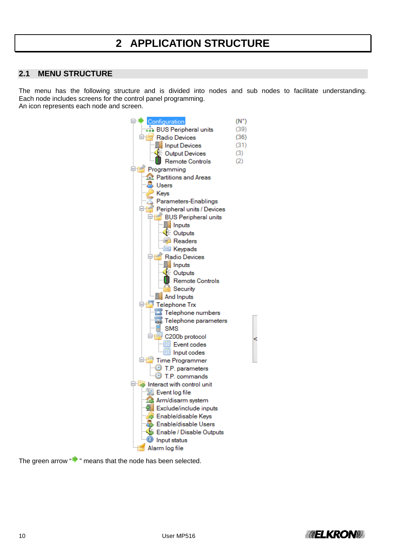#### **2.1 MENU STRUCTURE**

The menu has the following structure and is divided into nodes and sub nodes to facilitate understanding. Each node includes screens for the control panel programming. An icon represents each node and screen.



The green arrow " $\blacktriangleright$ " means that the node has been selected.

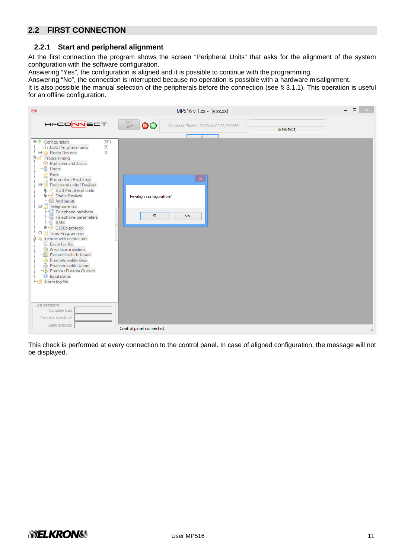#### **2.2 FIRST CONNECTION**

#### **2.2.1 Start and peripheral alignment**

At the first connection the program shows the screen "Peripheral Units" that asks for the alignment of the system configuration with the software configuration.

Answering "Yes", the configuration is aligned and it is possible to continue with the programming.

Answering "No", the connection is interrupted because no operation is possible with a hardware misalignment. It is also possible the manual selection of the peripherals before the connection (see § 3.1.1). This operation is useful for an offline configuration.

| $\overline{\mathbf{N}}$                                                                                                                                                                                                                                                                                                                                                                                                                                                                                                                                                                                                                                 | MP516 v 1.xx - [v.xx.xx]                                                                             | $ \Box$<br>$\propto$ |
|---------------------------------------------------------------------------------------------------------------------------------------------------------------------------------------------------------------------------------------------------------------------------------------------------------------------------------------------------------------------------------------------------------------------------------------------------------------------------------------------------------------------------------------------------------------------------------------------------------------------------------------------------------|------------------------------------------------------------------------------------------------------|----------------------|
| HICOMECT                                                                                                                                                                                                                                                                                                                                                                                                                                                                                                                                                                                                                                                | $\sum_{i=1}^{n}$<br>$\odot$<br>LAN (Mode Elkron) - 00-20-4A-E3-96-00:8050<br>(51651601)<br>$\Lambda$ |                      |
| ⊟∙⋫<br>Configuration<br>BUS Peripheral units<br>Radio Devices<br>$\pm$<br><b>E</b> Programming<br>Partitions and Areas<br>Тm.<br>& Users<br>Keys<br>Parameters-Enablings<br>Peripheral units / Devices<br>BUS Peripheral units<br>Radio Devices<br>由<br>And Inputs<br>Fig. Telephone Trx<br>Telephone numbers<br>Telephone parameters<br>SMS<br>由 C200b protocol<br><b>E</b> Time Programmer<br>$\Box$ Interact with control unit<br>Event log file<br>Arm/disarm system<br>Exclude/include inputs<br>-51<br><b>Enable/disable Keys</b><br><b>Enable/disable Users</b><br>Enable / Disable Outputs<br>Input status<br>Alarm log file<br>Last operations | $(N^{\circ})$<br>(0)<br>(0)<br>$\vert x \vert$<br>Re-align configuration?<br>Sì<br>No                |                      |
| Complete load<br>Complete download<br>Alarm received                                                                                                                                                                                                                                                                                                                                                                                                                                                                                                                                                                                                    | Control panel connected.                                                                             |                      |
|                                                                                                                                                                                                                                                                                                                                                                                                                                                                                                                                                                                                                                                         |                                                                                                      | шł.                  |

This check is performed at every connection to the control panel. In case of aligned configuration, the message will not be displayed.

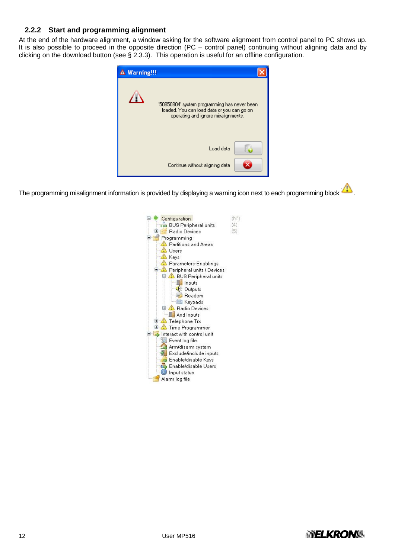#### **2.2.2 Start and programming alignment**

At the end of the hardware alignment, a window asking for the software alignment from control panel to PC shows up. It is also possible to proceed in the opposite direction (PC – control panel) continuing without aligning data and by clicking on the download button (see § 2.3.3). This operation is useful for an offline configuration.



The programming misalignment information is provided by displaying a warning icon next to each programming block



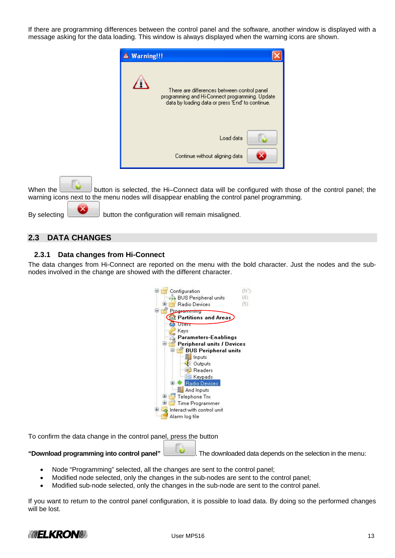If there are programming differences between the control panel and the software, another window is displayed with a message asking for the data loading. This window is always displayed when the warning icons are shown.



When the button is selected, the Hi–Connect data will be configured with those of the control panel; the warning icons next to the menu nodes will disappear enabling the control panel programming.

By selecting button the configuration will remain misaligned.

#### **2.3 DATA CHANGES**

#### **2.3.1 Data changes from Hi-Connect**

The data changes from Hi-Connect are reported on the menu with the bold character. Just the nodes and the subnodes involved in the change are showed with the different character.



To confirm the data change in the control panel, press the button

**"Download programming into control panel"** . The downloaded data depends on the selection in the menu:

- Node "Programming" selected, all the changes are sent to the control panel;
- Modified node selected, only the changes in the sub-nodes are sent to the control panel;
- Modified sub-node selected, only the changes in the sub-node are sent to the control panel.

If you want to return to the control panel configuration, it is possible to load data. By doing so the performed changes will be lost.

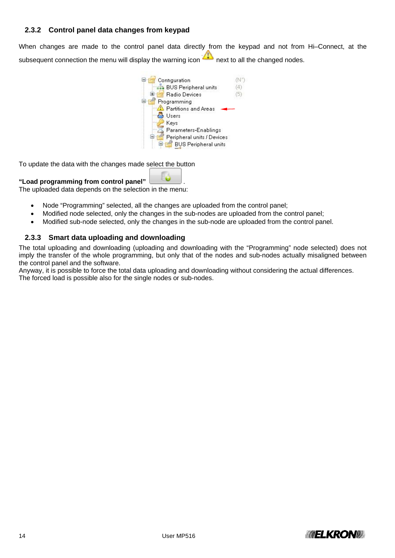#### **2.3.2 Control panel data changes from keypad**

When changes are made to the control panel data directly from the keypad and not from Hi–Connect, at the subsequent connection the menu will display the warning icon  $\mathbb{R}$  next to all the changed nodes.



To update the data with the changes made select the button

#### **"Load programming from control panel"** .

The uploaded data depends on the selection in the menu:

- Node "Programming" selected, all the changes are uploaded from the control panel;
- Modified node selected, only the changes in the sub-nodes are uploaded from the control panel;
- Modified sub-node selected, only the changes in the sub-node are uploaded from the control panel.

#### **2.3.3 Smart data uploading and downloading**

The total uploading and downloading (uploading and downloading with the "Programming" node selected) does not imply the transfer of the whole programming, but only that of the nodes and sub-nodes actually misaligned between the control panel and the software.

Anyway, it is possible to force the total data uploading and downloading without considering the actual differences. The forced load is possible also for the single nodes or sub-nodes.

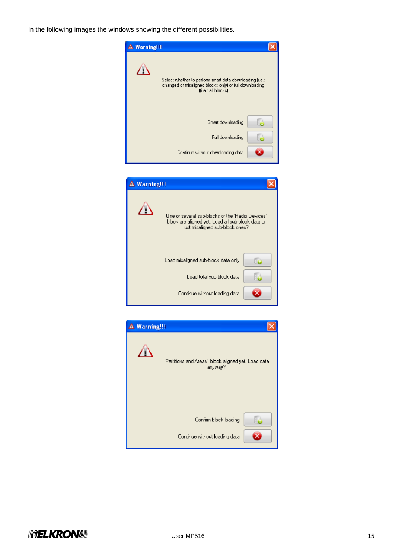In the following images the windows showing the different possibilities.





| A Warning!!!                                                   |
|----------------------------------------------------------------|
| 'Partitions and Areas' block aligned yet. Load data<br>anyway? |
| Confirm block loading                                          |
| Continue without loading data                                  |

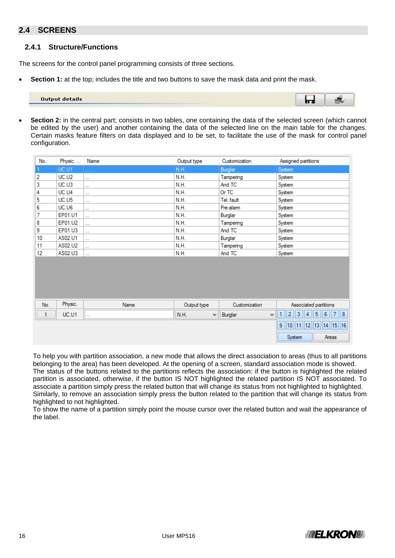#### **2.4 SCREENS**

#### **2.4.1 Structure/Functions**

The screens for the control panel programming consists of three sections.

**Section 1:** at the top; includes the title and two buttons to save the mask data and print the mask.

#### **Output details** п

**Section 2:** in the central part; consists in two tables, one containing the data of the selected screen (which cannot be edited by the user) and another containing the data of the selected line on the main table for the changes. Certain masks feature filters on data displayed and to be set, to facilitate the use of the mask for control panel configuration.

| No. | Physic       | Name      | Output type | Customization | Assigned partitions                                                          |
|-----|--------------|-----------|-------------|---------------|------------------------------------------------------------------------------|
|     | UC.U1        |           | N.H.        | Burglar       | System                                                                       |
| 2   | UC.U2        |           | N.H.        | Tampering     | System                                                                       |
| 3   | UC.U3        |           | N.H.        | And TC        | System                                                                       |
| 4   | UC.U4        | $\ddotsc$ | N.H.        | Or TC         | System                                                                       |
| 5   | <b>UC.U5</b> | $\cdots$  | N.H.        | Tel. fault    | System                                                                       |
| 6   | UC.U6        |           | N.H.        | Pre-alarm     | System                                                                       |
| 7   | EP01.U1      |           | N.H.        | Burglar       | System                                                                       |
| 8   | EP01.U2      |           | N.H.        | Tampering     | System                                                                       |
| 9   | EP01.U3      | $\cdots$  | N.H.        | And TC        | System                                                                       |
| 10  | AS02.U1      |           | N.H.        | Burglar       | System                                                                       |
| 11  | AS02.U2      |           | N.H.        | Tampering     | System                                                                       |
| 12  | AS02.U3      | $\cdots$  | N.H.        | And TC        | System                                                                       |
|     |              |           |             |               |                                                                              |
| No. | Physic.      | Name      | Output type | Customization | Associated partitions                                                        |
| 1   | UC.U1        | $\cdots$  | N.H.<br>M.  | Burglar<br>v  | 8<br>$\overline{2}$<br>$\sf 6$<br>$\overline{7}$<br>3<br>5 <sup>1</sup><br>4 |
|     |              |           |             |               | 9   10  11  12  13  14  15  16                                               |
|     |              |           |             |               | System<br>Areas                                                              |

To help you with partition association, a new mode that allows the direct association to areas (thus to all partitions belonging to the area) has been developed. At the opening of a screen, standard association mode is showed. The status of the buttons related to the partitions reflects the association: if the button is highlighted the related partition is associated, otherwise, if the button IS NOT highlighted the related partition IS NOT associated. To associate a partition simply press the related button that will change its status from not highlighted to highlighted. Similarly, to remove an association simply press the button related to the partition that will change its status from highlighted to not highlighted.

To show the name of a partition simply point the mouse cursor over the related button and wait the appearance of the label.

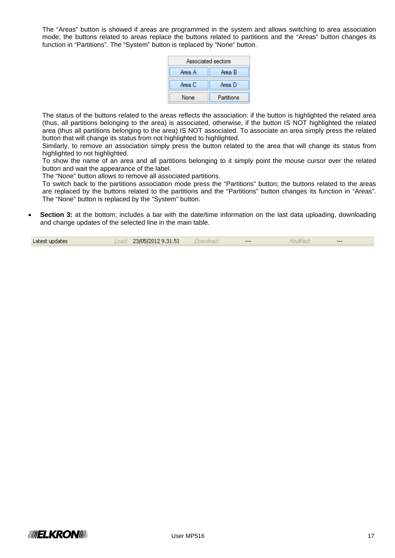The "Areas" button is showed if areas are programmed in the system and allows switching to area association mode; the buttons related to areas replace the buttons related to partitions and the "Areas" button changes its function in "Partitions". The "System" button is replaced by "None" button.

| Associated sectors |        |  |  |  |  |  |
|--------------------|--------|--|--|--|--|--|
| Area A<br>Area B   |        |  |  |  |  |  |
| Area C             | Area D |  |  |  |  |  |
| None<br>Partitions |        |  |  |  |  |  |

The status of the buttons related to the areas reflects the association: if the button is highlighted the related area (thus, all partitions belonging to the area) is associated, otherwise, if the button IS NOT highlighted the related area (thus all partitions belonging to the area) IS NOT associated. To associate an area simply press the related button that will change its status from not highlighted to highlighted.

Similarly, to remove an association simply press the button related to the area that will change its status from highlighted to not highlighted.

To show the name of an area and all partitions belonging to it simply point the mouse cursor over the related button and wait the appearance of the label.

The "None" button allows to remove all associated partitions.

To switch back to the partitions association mode press the "Partitions" button; the buttons related to the areas are replaced by the buttons related to the partitions and the "Partitions" button changes its function in "Areas". The "None" button is replaced by the "System" button.

**Section 3:** at the bottom; includes a bar with the date/time information on the last data uploading, downloading and change updates of the selected line in the main table.

| Latest updates | Load: 23/05/2012 9.31.51 |  | $\cdots$ |  | --- |  |
|----------------|--------------------------|--|----------|--|-----|--|
|----------------|--------------------------|--|----------|--|-----|--|

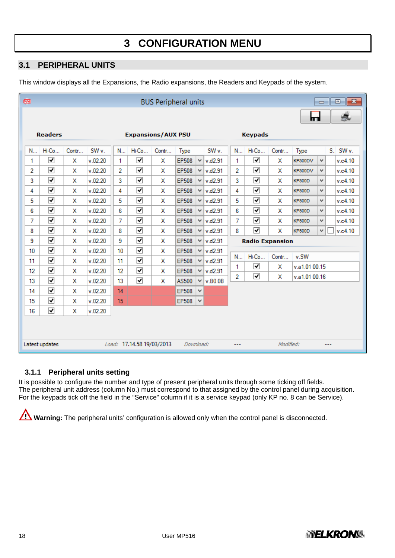## **3 CONFIGURATION MENU**

#### **3.1 PERIPHERAL UNITS**

This window displays all the Expansions, the Radio expansions, the Readers and Keypads of the system.

| $\overline{\text{NN}}$ |                         |       |                   |    |                           | <b>BUS Peripheral units</b> |           |              |                 |                |                         |           |               |   |     | - 0 X      |
|------------------------|-------------------------|-------|-------------------|----|---------------------------|-----------------------------|-----------|--------------|-----------------|----------------|-------------------------|-----------|---------------|---|-----|------------|
|                        |                         |       |                   |    |                           |                             |           |              |                 |                |                         |           | ы             |   |     | £.         |
|                        | <b>Readers</b>          |       |                   |    |                           | <b>Expansions/AUX PSU</b>   |           |              |                 |                | <b>Keypads</b>          |           |               |   |     |            |
|                        |                         |       |                   |    |                           |                             |           |              |                 |                |                         |           |               |   |     |            |
|                        | N Hi-Co                 | Contr | SW <sub>v</sub> . |    | N Hi-Co                   | Contr                       | Type      |              | SW <sub>v</sub> |                | N Hi-Co                 | Contr     | Type          |   |     | $S.$ SW v. |
| 1                      | ▿                       | x     | v.02.20           | 1  | √                         | x                           | EP508     | ٧            | v.d2.91         | 1              | √                       | х         | KP500DV       | v |     | v.c4.10    |
| 2                      | $\overline{\mathbf{v}}$ | x     | v.02.20           | 2  | √                         | x                           | EP508     | ٧            | v.d2.91         | $\overline{2}$ | $\overline{\mathbf{v}}$ | x         | KP500DV       | v |     | v.c4.10    |
| 3                      | $\overline{\mathbf{v}}$ | x     | v.02.20           | 3  | √                         | x                           | EP508     | ٧            | v.d2.91         | 3              | $\overline{\mathbf{v}}$ | x         | <b>KP500D</b> | v |     | v.c4.10    |
| 4                      | $\overline{\mathbf{v}}$ | x     | v.02.20           | 4  | $\blacktriangledown$      | x                           | EP508     | v            | v.d2.91         | 4              | ▿                       | x         | <b>KP500D</b> | v |     | v.c4.10    |
| 5                      | ⊽                       | x     | v.02.20           | 5  | √                         | x                           | EP508     | v            | v.d2.91         | 5              | ▿                       | х         | <b>KP500D</b> | v |     | v.c4.10    |
| 6                      | $\overline{\mathbf{v}}$ | х     | v.02.20           | 6  | $\overline{\mathbf{v}}$   | x                           | EP508     | ٧            | v.d2.91         | 6              | $\overline{\mathbf{v}}$ | x         | <b>KP500D</b> | v |     | v.c4.10    |
| 7                      | $\overline{\mathbf{v}}$ | x     | v.02.20           | 7  | $\overline{\mathbf{v}}$   | x                           | EP508     | ٧            | v.d2.91         | 7              | $\overline{\mathbf{v}}$ | x         | <b>KP500D</b> | v |     | v.c4.10    |
| 8                      | $\overline{\mathbf{v}}$ | x     | v.02.20           | 8  | √                         | x                           | EP508     | ٧            | v.d2.91         | 8              | ▿                       | x         | <b>KP500D</b> | v |     | v.c4.10    |
| 9                      | $\overline{\mathbf{v}}$ | x     | v.02.20           | 9  | $\blacktriangledown$      | x                           | EP508     | ٧            | v.d2.91         |                | <b>Radio Expansion</b>  |           |               |   |     |            |
| 10                     | $\overline{\mathbf{v}}$ | x     | v.02.20           | 10 | √                         | x                           | EP508     | ٧            | v.d2.91         |                |                         |           |               |   |     |            |
| 11                     | √                       | х     | v.02.20           | 11 | $\blacktriangledown$      | x                           | EP508     | v            | v.d2.91         |                | N Hi-Co                 | Contr     | v.SW          |   |     |            |
| 12                     | $\overline{\mathbf{v}}$ | х     | v.02.20           | 12 | √                         | x                           | EP508     | v            | v.d2.91         | $\mathbf{1}$   | √                       | x         | v.a1.01 00.15 |   |     |            |
| 13                     | $\overline{\mathbf{v}}$ | x     | v.02.20           | 13 | √                         | x                           | AS500     | v            | v.B0.0B         | $\overline{2}$ | $\overline{\mathbf{v}}$ | x         | v.a1.01 00.16 |   |     |            |
| 14                     | $\overline{\mathbf{v}}$ | x     | v.02.20           | 14 |                           |                             | EP508     | v            |                 |                |                         |           |               |   |     |            |
| 15                     | $\overline{\mathbf{v}}$ | x     | v.02.20           | 15 |                           |                             | EP508     | $\mathbf{v}$ |                 |                |                         |           |               |   |     |            |
| 16                     | $\blacktriangledown$    | x     | v.02.20           |    |                           |                             |           |              |                 |                |                         |           |               |   |     |            |
|                        |                         |       |                   |    |                           |                             |           |              |                 |                |                         |           |               |   |     |            |
|                        |                         |       |                   |    |                           |                             |           |              |                 |                |                         |           |               |   |     |            |
|                        | Latest updates          |       |                   |    | Load: 17.14.58 19/03/2013 |                             | Download: |              |                 | ---            |                         | Modified: |               |   | --- |            |

#### **3.1.1 Peripheral units setting**

It is possible to configure the number and type of present peripheral units through some ticking off fields. The peripheral unit address (column No.) must correspond to that assigned by the control panel during acquisition. For the keypads tick off the field in the "Service" column if it is a service keypad (only KP no. 8 can be Service).

Warning: The peripheral units' configuration is allowed only when the control panel is disconnected.

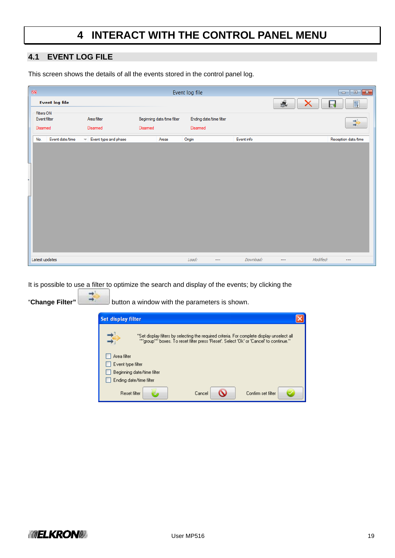## **4 INTERACT WITH THE CONTROL PANEL MENU**

#### **4.1 EVENT LOG FILE**

This screen shows the details of all the events stored in the control panel log.

|   | $\overline{\text{NN}}$                |                                   |                                       | Event log file                     |            |                       | $\begin{array}{c c c c c} \hline \multicolumn{3}{c }{\textbf{}} & \multicolumn{3}{c }{\textbf{}} & \multicolumn{3}{c }{\textbf{}} \\ \hline \multicolumn{3}{c }{\textbf{}} & \multicolumn{3}{c }{\textbf{}} & \multicolumn{3}{c }{\textbf{}} & \multicolumn{3}{c }{\textbf{}} & \multicolumn{3}{c }{\textbf{}} \\ \hline \multicolumn{3}{c }{\textbf{}} & \multicolumn{3}{c }{\textbf{}} & \multicolumn{3}{c }{\textbf{}} & \multicolumn{3}{c }{\textbf{}} & \multicolumn$ |
|---|---------------------------------------|-----------------------------------|---------------------------------------|------------------------------------|------------|-----------------------|----------------------------------------------------------------------------------------------------------------------------------------------------------------------------------------------------------------------------------------------------------------------------------------------------------------------------------------------------------------------------------------------------------------------------------------------------------------------------|
|   | <b>Event log file</b>                 |                                   |                                       |                                    |            | g,                    | 匱<br>ы                                                                                                                                                                                                                                                                                                                                                                                                                                                                     |
|   | Filters ON<br>Event filter<br>Disamed | Area filter<br>Disamed            | Beginning date/time filter<br>Disamed | Ending date/time filter<br>Disamed |            |                       | 궃                                                                                                                                                                                                                                                                                                                                                                                                                                                                          |
|   | Event date/time<br>No.                | $\mathbf{v}$ Event type and phase | Areas                                 | Origin                             | Event info |                       | Reception date/time                                                                                                                                                                                                                                                                                                                                                                                                                                                        |
|   |                                       |                                   |                                       |                                    |            |                       |                                                                                                                                                                                                                                                                                                                                                                                                                                                                            |
|   |                                       |                                   |                                       |                                    |            |                       |                                                                                                                                                                                                                                                                                                                                                                                                                                                                            |
| ۰ |                                       |                                   |                                       |                                    |            |                       |                                                                                                                                                                                                                                                                                                                                                                                                                                                                            |
|   |                                       |                                   |                                       |                                    |            |                       |                                                                                                                                                                                                                                                                                                                                                                                                                                                                            |
|   | Latest updates                        |                                   |                                       | Load:<br>$\cdots$                  | Download:  | Modified:<br>$\cdots$ | $\frac{1}{2}$                                                                                                                                                                                                                                                                                                                                                                                                                                                              |

It is possible to use a filter to optimize the search and display of the events; by clicking the

"Change Filter" **The State of State State State State State State State State State State State State State State State State State State State State State State State State State State State State State State State State** 



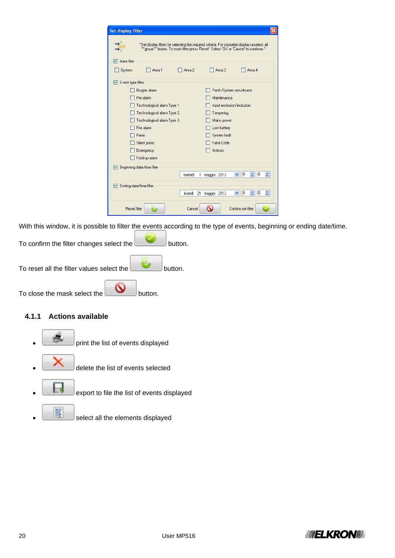| Set display filter              |                            |               |                            |                                                                                                                                                                                     |  |  |  |  |  |
|---------------------------------|----------------------------|---------------|----------------------------|-------------------------------------------------------------------------------------------------------------------------------------------------------------------------------------|--|--|--|--|--|
|                                 |                            |               |                            | "Set display filters by selecting the required criteria. For complete display unselect all<br>""group"" boxes. To reset filter press 'Reset'. Select 'Ok' or 'Cancel' to continue." |  |  |  |  |  |
| V Area filter                   |                            |               |                            |                                                                                                                                                                                     |  |  |  |  |  |
| System                          | Area 1                     | Area 2        | Area 3                     | Area 4                                                                                                                                                                              |  |  |  |  |  |
| Event type filter<br>罓          |                            |               |                            |                                                                                                                                                                                     |  |  |  |  |  |
|                                 | Burglar alarm              |               | Partit./System.arm/disarm  |                                                                                                                                                                                     |  |  |  |  |  |
| Pre-alarm                       |                            |               | Maintenance                |                                                                                                                                                                                     |  |  |  |  |  |
|                                 | Technological alarm Type 1 |               | Input exclusion/inclusion. |                                                                                                                                                                                     |  |  |  |  |  |
|                                 | Technological alarm Type 2 |               | Tampering                  |                                                                                                                                                                                     |  |  |  |  |  |
|                                 | Technological alarm Type 3 |               | Mains power                |                                                                                                                                                                                     |  |  |  |  |  |
| Fire alarm                      |                            |               | Low battery                |                                                                                                                                                                                     |  |  |  |  |  |
| Panic                           |                            |               | System fault               |                                                                                                                                                                                     |  |  |  |  |  |
|                                 | Silent panic               |               | False Code                 |                                                                                                                                                                                     |  |  |  |  |  |
|                                 | Emergency                  |               | Notices                    |                                                                                                                                                                                     |  |  |  |  |  |
|                                 | Hold-up alarm              |               |                            |                                                                                                                                                                                     |  |  |  |  |  |
| Beginning date/time filter<br>罓 |                            |               |                            |                                                                                                                                                                                     |  |  |  |  |  |
|                                 |                            | 1.<br>martedì | 2012<br>maggio             | ¢<br>O<br>÷<br>0<br>v                                                                                                                                                               |  |  |  |  |  |
| M                               | Ending date/time filter    |               |                            |                                                                                                                                                                                     |  |  |  |  |  |
|                                 |                            | 21<br>lunedì  | 2012<br>maggio             | ÷<br>0<br>0<br>v                                                                                                                                                                    |  |  |  |  |  |
| <b>Reset filter</b>             |                            | Cancel        |                            | Confirm set filter                                                                                                                                                                  |  |  |  |  |  |

With this window, it is possible to filter the events according to the type of events, beginning or ending date/time.

To confirm the filter changes select the  $\Box$  button. To reset all the filter values select the button. To close the mask select the **button**.

#### **4.1.1 Actions available**

- print the list of events displayed
	- delete the list of events selected
	- export to file the list of events displayed
	- $\left| \begin{array}{c} \blacksquare \ \blacksquare \end{array} \right|$  select all the elements displayed

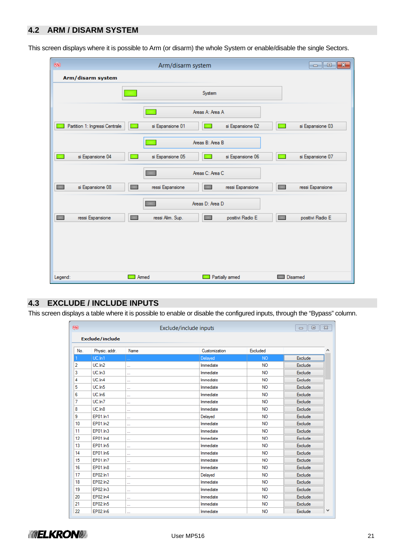#### **4.2 ARM / DISARM SYSTEM**

| $\overline{\mathbf{N}}$        |              | Arm/disarm system |                  | $\begin{array}{c} \hline \begin{array}{c} \hline \end{array} & \mathbf{0} \end{array} \begin{array}{c} \mathbf{X} \end{array}$ |
|--------------------------------|--------------|-------------------|------------------|--------------------------------------------------------------------------------------------------------------------------------|
| Arm/disarm system              |              |                   |                  |                                                                                                                                |
|                                |              |                   | System           |                                                                                                                                |
|                                |              |                   | Areas A: Area A  |                                                                                                                                |
| Partition 1: Ingressi Centrale |              | si Espansione 01  | si Espansione 02 | si Espansione 03                                                                                                               |
|                                |              |                   | Areas B: Area B  |                                                                                                                                |
| si Espansione 04               |              | si Espansione 05  | si Espansione 06 | si Espansione 07                                                                                                               |
|                                |              |                   | Areas C: Area C  |                                                                                                                                |
| si Espansione 08               |              | ressi Espansione  | ressi Espansione | ressi Espansione<br>٠                                                                                                          |
|                                |              |                   | Areas D: Area D  |                                                                                                                                |
| ressi Espansione               |              | ressi Alim. Sup.  | positivi Radio E | positivi Radio E                                                                                                               |
|                                |              |                   |                  |                                                                                                                                |
|                                |              |                   |                  |                                                                                                                                |
| Legend:                        | $\Box$ Armed |                   | Partially armed  | <b>Disamed</b>                                                                                                                 |

This screen displays where it is possible to Arm (or disarm) the whole System or enable/disable the single Sectors.

### **4.3 EXCLUDE / INCLUDE INPUTS**

This screen displays a table where it is possible to enable or disable the configured inputs, through the "Bypass" column.

| $\overline{\mathbf{N}}$ |                        |           | Exclude/include inputs |           | $\Sigma$<br>回<br>$\qquad \qquad \qquad \Box$ |
|-------------------------|------------------------|-----------|------------------------|-----------|----------------------------------------------|
|                         | <b>Exclude/include</b> |           |                        |           |                                              |
| No.                     | Physic. addr.          | Name      | Customization          | Excluded  | ٨                                            |
| 1                       | UC.In1                 |           | Delayed                | <b>NO</b> | Exclude                                      |
| 2                       | UC.in2                 |           | Immediate              | <b>NO</b> | <b>Exclude</b>                               |
| 3                       | UC.in3                 | $\ddotsc$ | Immediate              | <b>NO</b> | Exclude                                      |
| 4                       | $UC.$ In4              | $\cdots$  | Immediate              | <b>NO</b> | <b>Exclude</b>                               |
| 5                       | UC.in5                 | $\cdots$  | Immediate              | <b>NO</b> | Exclude                                      |
| 6                       | UC.In6                 | $\ddotsc$ | Immediate              | <b>NO</b> | Exclude                                      |
| 7                       | UC.In7                 | $\cdots$  | Immediate              | <b>NO</b> | Exclude                                      |
| 8                       | UC.in8                 | $\cdots$  | Immediate              | <b>NO</b> | Exclude                                      |
| 9                       | EP01.In1               | $\ddotsc$ | Delayed                | <b>NO</b> | Exclude                                      |
| 10                      | EP01.In2               | $\ddotsc$ | Immediate              | <b>NO</b> | Exclude                                      |
| 11                      | EP01.In3               | $\cdots$  | Immediate              | <b>NO</b> | Exclude                                      |
| 12                      | EP01.In4               | $\cdots$  | Immediate              | <b>NO</b> | Exclude                                      |
| 13                      | EP01.In5               | $\cdots$  | Immediate              | <b>NO</b> | Exclude                                      |
| 14                      | EP01.In6               | $\ddotsc$ | Immediate              | <b>NO</b> | Exclude                                      |
| 15                      | EP01.In7               | $\cdots$  | Immediate              | <b>NO</b> | Exclude                                      |
| 16                      | EP01.In8               | $\cdots$  | Immediate              | <b>NO</b> | Exclude                                      |
| 17                      | EP02.In1               | $\ddotsc$ | Delayed                | <b>NO</b> | Exclude                                      |
| 18                      | EP02.In2               | $\ddotsc$ | Immediate              | <b>NO</b> | Exclude                                      |
| 19                      | EP02.In3               | $\ddotsc$ | Immediate              | <b>NO</b> | Exclude                                      |
| 20                      | EP02.In4               | $\cdots$  | Immediate              | <b>NO</b> | Exclude                                      |
| 21                      | EP02.In5               | $\ddotsc$ | Immediate              | <b>NO</b> | Exclude                                      |
| 22                      | EP02.In6               | $\cdots$  | Immediate              | <b>NO</b> | ٧<br>Exclude                                 |

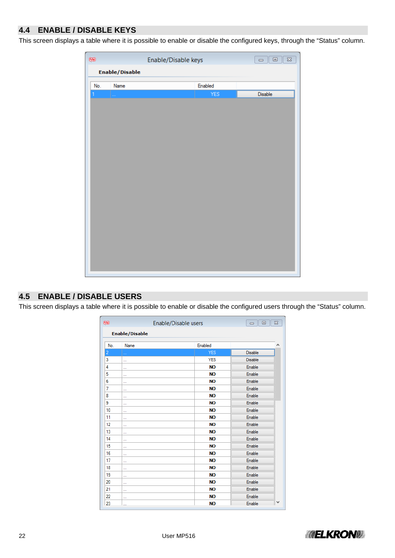#### **4.4 ENABLE / DISABLE KEYS**

This screen displays a table where it is possible to enable or disable the configured keys, through the "Status" column.

| $\overline{\mathbf{N}}$ |                       | Enable/Disable keys |            | $\Sigma\!3$<br>$\qquad \qquad \Box$<br>$\qquad \qquad \Box$ |
|-------------------------|-----------------------|---------------------|------------|-------------------------------------------------------------|
|                         | <b>Enable/Disable</b> |                     |            |                                                             |
| No.                     | Name                  |                     | Enabled    |                                                             |
| 1                       |                       |                     | <b>YES</b> | Disable                                                     |
|                         |                       |                     |            |                                                             |
|                         |                       |                     |            |                                                             |
|                         |                       |                     |            |                                                             |
|                         |                       |                     |            |                                                             |
|                         |                       |                     |            |                                                             |
|                         |                       |                     |            |                                                             |
|                         |                       |                     |            |                                                             |
|                         |                       |                     |            |                                                             |
|                         |                       |                     |            |                                                             |
|                         |                       |                     |            |                                                             |
|                         |                       |                     |            |                                                             |
|                         |                       |                     |            |                                                             |
|                         |                       |                     |            |                                                             |
|                         |                       |                     |            |                                                             |
|                         |                       |                     |            |                                                             |
|                         |                       |                     |            |                                                             |
|                         |                       |                     |            |                                                             |
|                         |                       |                     |            |                                                             |

#### **4.5 ENABLE / DISABLE USERS**

This screen displays a table where it is possible to enable or disable the configured users through the "Status" column.

| $\overline{\mathbf{N}}$ |                       | Enable/Disable users |            | $\Box$<br>$\Box$ | $\Sigma$ |
|-------------------------|-----------------------|----------------------|------------|------------------|----------|
|                         | <b>Enable/Disable</b> |                      |            |                  |          |
| No.                     | Name                  |                      | Enabled    |                  | ۸        |
| $\overline{2}$          |                       |                      | <b>YES</b> | <b>Disable</b>   |          |
| 3                       |                       |                      | <b>YES</b> | <b>Disable</b>   |          |
| 4                       |                       |                      | <b>NO</b>  | Enable           |          |
| 5                       |                       |                      | <b>NO</b>  | Enable           |          |
| 6                       |                       |                      | <b>NO</b>  | Enable           |          |
| 7                       |                       |                      | <b>NO</b>  | Enable           |          |
| 8                       |                       |                      | <b>NO</b>  | Enable           |          |
| 9                       |                       |                      | <b>NO</b>  | Enable           |          |
| 10                      |                       |                      | <b>NO</b>  | Enable           |          |
| 11                      |                       |                      | <b>NO</b>  | Enable           |          |
| 12                      |                       |                      | <b>NO</b>  | Enable           |          |
| 13                      |                       |                      | <b>NO</b>  | Enable           |          |
| 14                      |                       |                      | <b>NO</b>  | Enable           |          |
| 15                      |                       |                      | <b>NO</b>  | Enable           |          |
| 16                      | $\cdots$              |                      | <b>NO</b>  | Enable           |          |
| 17                      |                       |                      | <b>NO</b>  | Enable           |          |
| 18                      |                       |                      | <b>NO</b>  | Enable           |          |
| 19                      |                       |                      | <b>NO</b>  | Enable           |          |
| 20                      |                       |                      | <b>NO</b>  | Enable           |          |
| 21                      |                       |                      | <b>NO</b>  | Enable           |          |
| 22                      |                       |                      | <b>NO</b>  | Enable           |          |
| 23                      |                       |                      | <b>NO</b>  | Enable           | ٧        |

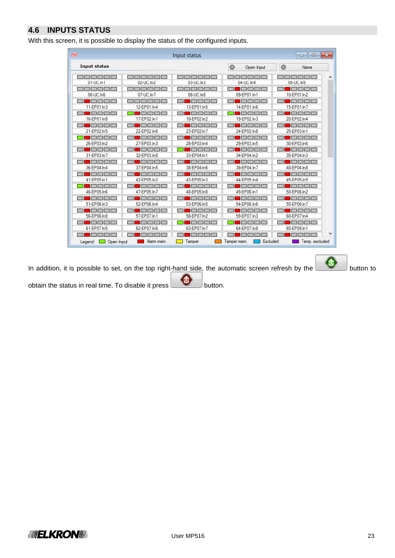#### **4.6 INPUTS STATUS**

With this screen, it is possible to display the status of the configured inputs.

| $ \overline{NN} $                        |                          | Input status        |                         | $\begin{array}{c c c c c c} \hline \multicolumn{3}{c }{\mathbf{C}} & \multicolumn{3}{c }{\mathbf{S}} & \multicolumn{3}{c }{\mathbf{X}} \\\hline \multicolumn{3}{c }{\mathbf{C}} & \multicolumn{3}{c }{\mathbf{D}} & \multicolumn{3}{c }{\mathbf{S}} & \multicolumn{3}{c }{\mathbf{S}} \\\hline \multicolumn{3}{c }{\mathbf{D}} & \multicolumn{3}{c }{\mathbf{D}} & \multicolumn{3}{c }{\mathbf{S}} & \multicolumn{3}{c }{\mathbf{S}} \\\hline \multicolumn$ |   |
|------------------------------------------|--------------------------|---------------------|-------------------------|-------------------------------------------------------------------------------------------------------------------------------------------------------------------------------------------------------------------------------------------------------------------------------------------------------------------------------------------------------------------------------------------------------------------------------------------------------------|---|
| <b>Input status</b>                      |                          |                     | $\circ$<br>Open Input   | $\bullet$<br>Name                                                                                                                                                                                                                                                                                                                                                                                                                                           |   |
| man man m                                | mmmmm                    | 70 C<br>7 M M       |                         | na mata                                                                                                                                                                                                                                                                                                                                                                                                                                                     | ۸ |
| $01-UC$ . In 1                           | 02-UC.In2                | 03-UC.In3           | 04-UC.In4               | 05-UC.In5                                                                                                                                                                                                                                                                                                                                                                                                                                                   |   |
|                                          | mananan                  | mmmmmm              | a manan<br>$\Box$       | m<br>a mmmm                                                                                                                                                                                                                                                                                                                                                                                                                                                 |   |
| 06-UC.In6                                | 07-UC.In7                | 08-UC.In8           | 09-EP01.In1             | 10-EP01.ln2                                                                                                                                                                                                                                                                                                                                                                                                                                                 |   |
| <u>nammm</u><br>$\overline{\phantom{a}}$ | mmmmm                    | ┑<br>a manan        | a manan                 | $\Box$<br>a manar                                                                                                                                                                                                                                                                                                                                                                                                                                           |   |
| 11-EP01.ln3                              | 12-EP01.ln4              | 13-EP01.In5         | 14-EP01.In6             | 15-EP01.In7                                                                                                                                                                                                                                                                                                                                                                                                                                                 |   |
| a mimr<br>$\Box$<br>דר                   | a min                    |                     | ┓┍┓┎                    | <u>n mmmm</u>                                                                                                                                                                                                                                                                                                                                                                                                                                               |   |
| 16-EP01.ln8                              | 17-EP02.In1              | 18-EP02 In2         | 19-EP02.In3             | 20-EP02.In4                                                                                                                                                                                                                                                                                                                                                                                                                                                 |   |
| mmmm<br>$\Box$                           | TELET                    |                     | T E E E                 | mmmm                                                                                                                                                                                                                                                                                                                                                                                                                                                        |   |
| 21-EP02.In5                              | 22-EP02.In6              | 23-EP02.In7         | 24-EP02.In8             | 25-EP03.In1                                                                                                                                                                                                                                                                                                                                                                                                                                                 |   |
| <u>INDAN I</u>                           | e a a a a                | <u>I DI DI DI L</u> | <u>I DI DI DI DI </u>   | n man man                                                                                                                                                                                                                                                                                                                                                                                                                                                   |   |
| 26-EP03.In2                              | 27-EP03.In3              | 28-EP03.In4         | 29-EP03.In5             | 30-EP03.In6                                                                                                                                                                                                                                                                                                                                                                                                                                                 |   |
| a mmmm<br>$\Box$                         | $\Box$                   | n man man           | <u>naman</u><br>┓       | $\Box$<br>a mana m                                                                                                                                                                                                                                                                                                                                                                                                                                          |   |
| 31-EP03.In7                              | 32-EP03.In8              | 33-EP04.In1         | 34-EP04.In2             | 35-EP04.In3                                                                                                                                                                                                                                                                                                                                                                                                                                                 |   |
| a manar                                  | a manar                  | a mm mn             | a mana m                | <u>e mmmm</u><br>$\Box$                                                                                                                                                                                                                                                                                                                                                                                                                                     |   |
| 36-EP04.In4                              | 37-EP04.In5              | 38-EP04.In6         | 39-EP04.In7             | 40-EP04.In8                                                                                                                                                                                                                                                                                                                                                                                                                                                 |   |
| a manar<br>m                             | a mmmm                   | <u>Roman I</u>      | <u>Immmm</u>            | a manan                                                                                                                                                                                                                                                                                                                                                                                                                                                     |   |
| 41-EP05.In1                              | 42-EP05.In2              | 43-EP05.In3         | 44-EP05.In4             | 45-EP05.In5                                                                                                                                                                                                                                                                                                                                                                                                                                                 |   |
| a manan                                  | mmmm                     | a mmmm              | <u>Immmm</u>            | mmmm                                                                                                                                                                                                                                                                                                                                                                                                                                                        |   |
| 46-EP05.In6                              | 47-EP05.In7              | 48-EP05.In8         | 49-EP06.In1             | 50-EP06.In2                                                                                                                                                                                                                                                                                                                                                                                                                                                 |   |
| <u>man ma</u><br>m                       | <u>sa mman</u><br>$\Box$ | ┑<br><u>ra mana</u> | <u>n mmmm</u>           | <u>ma matan</u>                                                                                                                                                                                                                                                                                                                                                                                                                                             |   |
| 51-EP06.ln3                              | 52-EP06.In4              | 53-EP06.In5         | 54-EP06.In6             | 55-EP06.In7                                                                                                                                                                                                                                                                                                                                                                                                                                                 |   |
| n En En E<br>דר                          | mmmm                     | <u>na mn</u>        | <u>INDO TIN</u>         | $\Box$                                                                                                                                                                                                                                                                                                                                                                                                                                                      |   |
| 56-EP06.In8                              | 57-EP07.In1              | 58-EP07.ln2         | 59-EP07.In3             | 60-EP07.In4                                                                                                                                                                                                                                                                                                                                                                                                                                                 |   |
| 1 mm n                                   |                          |                     |                         | <u>n menerim a</u>                                                                                                                                                                                                                                                                                                                                                                                                                                          |   |
| 61-EP07.In5                              | 62-EP07.In6              | 63-EP07.In7         | 64-EP07.In8             | 65-EP08.In1                                                                                                                                                                                                                                                                                                                                                                                                                                                 |   |
|                                          |                          |                     |                         |                                                                                                                                                                                                                                                                                                                                                                                                                                                             | ٧ |
| Open Input<br>Legend:                    | Alam mem.                | Tamper              | Excluded<br>Tamper mem. | Temp, excluded                                                                                                                                                                                                                                                                                                                                                                                                                                              |   |

In addition, it is possible to set, on the top right-hand side, the automatic screen refresh by the button to

obtain the status in real time. To disable it press button.

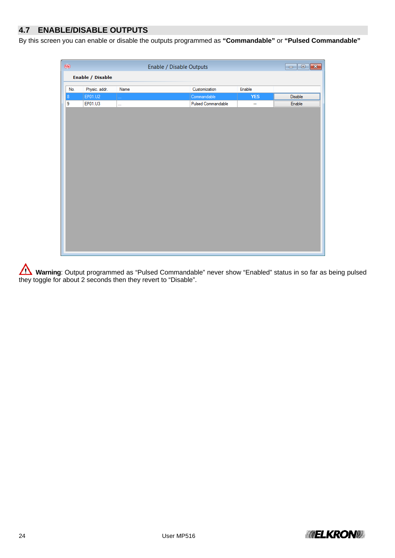#### **4.7 ENABLE/DISABLE OUTPUTS**

By this screen you can enable or disable the outputs programmed as **"Commandable"** or **"Pulsed Commandable"** 

| $\overline{\mathbf{M}}$ |     |                         | Enable / Disable Outputs |                    |            | $\blacksquare$ $\blacksquare$ $\blacksquare$ |
|-------------------------|-----|-------------------------|--------------------------|--------------------|------------|----------------------------------------------|
|                         |     | <b>Enable / Disable</b> |                          |                    |            |                                              |
|                         | No. | Physic. addr.           | Name                     | Customization      | Enable     |                                              |
| $\bf 8$                 |     | EP01.U2                 |                          | Commandable        | <b>YES</b> | Disable                                      |
| 9                       |     | EP01.U3                 |                          | Pulsed Commandable | <u></u>    | Enable                                       |
|                         |     |                         |                          |                    |            |                                              |
|                         |     |                         |                          |                    |            |                                              |
|                         |     |                         |                          |                    |            |                                              |
|                         |     |                         |                          |                    |            |                                              |
|                         |     |                         |                          |                    |            |                                              |
|                         |     |                         |                          |                    |            |                                              |
|                         |     |                         |                          |                    |            |                                              |
|                         |     |                         |                          |                    |            |                                              |
|                         |     |                         |                          |                    |            |                                              |
|                         |     |                         |                          |                    |            |                                              |
|                         |     |                         |                          |                    |            |                                              |
|                         |     |                         |                          |                    |            |                                              |
|                         |     |                         |                          |                    |            |                                              |
|                         |     |                         |                          |                    |            |                                              |
|                         |     |                         |                          |                    |            |                                              |
|                         |     |                         |                          |                    |            |                                              |
|                         |     |                         |                          |                    |            |                                              |
|                         |     |                         |                          |                    |            |                                              |
|                         |     |                         |                          |                    |            |                                              |

 **Warning**: Output programmed as "Pulsed Commandable" never show "Enabled" status in so far as being pulsed they toggle for about 2 seconds then they revert to "Disable".

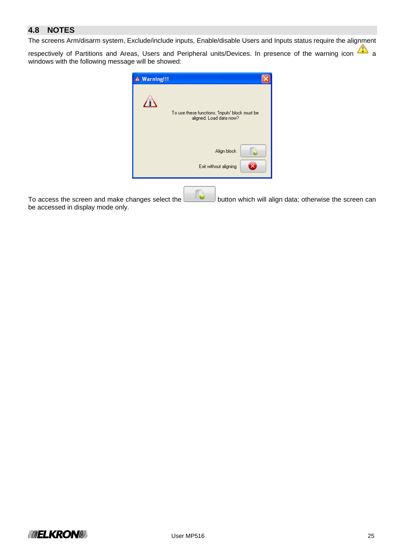#### **4.8 NOTES**

The screens Arm/disarm system, Exclude/include inputs, Enable/disable Users and Inputs status require the alignment

respectively of Partitions and Areas, Users and Peripheral units/Devices. In presence of the warning icon windows with the following message will be showed:



be accessed in display mode only.

To access the screen and make changes select the **button** which will align data; otherwise the screen can

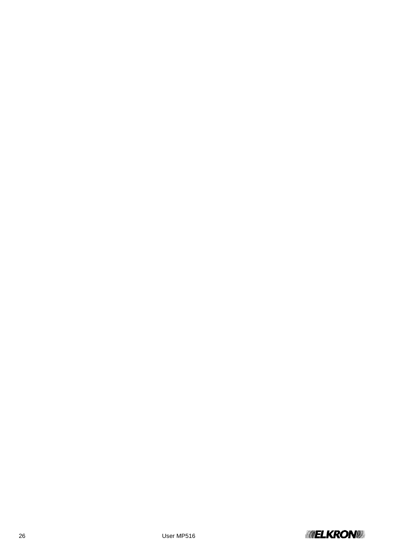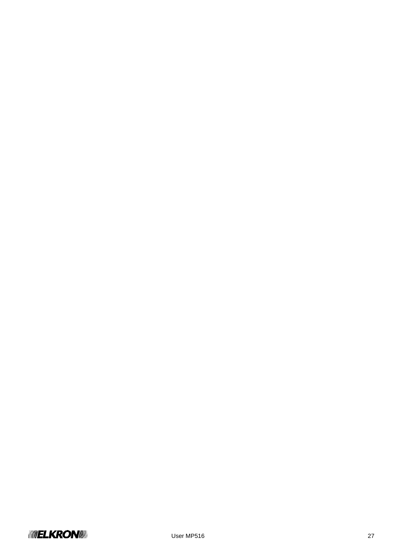